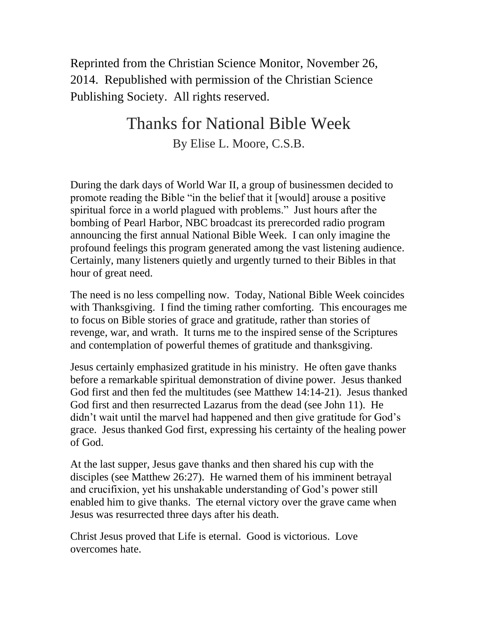Reprinted from the Christian Science Monitor, November 26, 2014. Republished with permission of the Christian Science Publishing Society. All rights reserved.

## Thanks for National Bible Week By Elise L. Moore, C.S.B.

During the dark days of World War II, a group of businessmen decided to promote reading the Bible "in the belief that it [would] arouse a positive spiritual force in a world plagued with problems." Just hours after the bombing of Pearl Harbor, NBC broadcast its prerecorded radio program announcing the first annual National Bible Week. I can only imagine the profound feelings this program generated among the vast listening audience. Certainly, many listeners quietly and urgently turned to their Bibles in that hour of great need.

The need is no less compelling now. Today, National Bible Week coincides with Thanksgiving. I find the timing rather comforting. This encourages me to focus on Bible stories of grace and gratitude, rather than stories of revenge, war, and wrath. It turns me to the inspired sense of the Scriptures and contemplation of powerful themes of gratitude and thanksgiving.

Jesus certainly emphasized gratitude in his ministry. He often gave thanks before a remarkable spiritual demonstration of divine power. Jesus thanked God first and then fed the multitudes (see [Matthew 14:14-21\)](http://jsh.christianscience.com/concordapi/view?book=tfccs.main.hb.kj&verbatim=1&q=Matthew+14%3A14-21). Jesus thanked God first and then resurrected Lazarus from the dead (see [John 11\)](http://jsh.christianscience.com/concordapi/view?book=tfccs.main.hb.kj&verbatim=1&q=John+11%3A1-45). He didn't wait until the marvel had happened and then give gratitude for God's grace. Jesus thanked God first, expressing his certainty of the healing power of God.

At the last supper, Jesus gave thanks and then shared his cup with the disciples (see [Matthew 26:27\)](http://jsh.christianscience.com/concordapi/view?book=tfccs.main.hb.kj&verbatim=1&q=Matthew+26%3A27). He warned them of his imminent betrayal and crucifixion, yet his unshakable understanding of God's power still enabled him to give thanks. The eternal victory over the grave came when Jesus was resurrected three days after his death.

[Christ Jesus](http://www.csmonitor.com/tags/topic/Jesus+Christ) proved that Life is eternal. Good is victorious. Love overcomes hate.